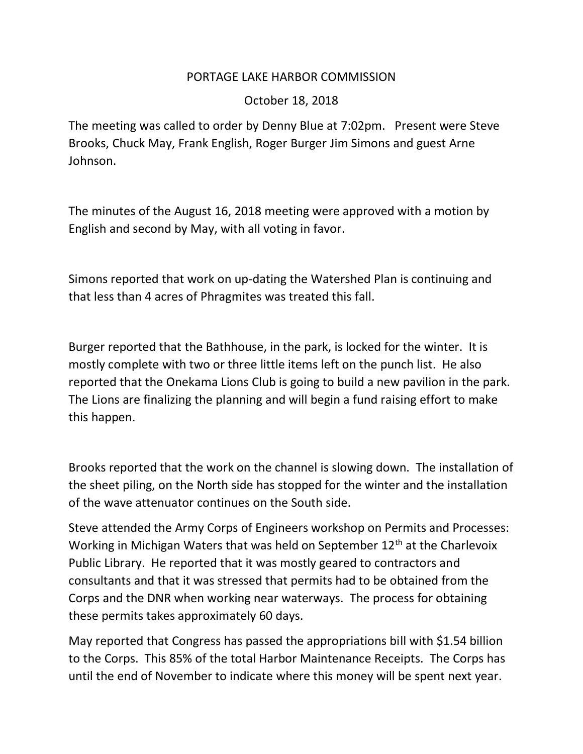## PORTAGE LAKE HARBOR COMMISSION

## October 18, 2018

The meeting was called to order by Denny Blue at 7:02pm. Present were Steve Brooks, Chuck May, Frank English, Roger Burger Jim Simons and guest Arne Johnson.

The minutes of the August 16, 2018 meeting were approved with a motion by English and second by May, with all voting in favor.

Simons reported that work on up-dating the Watershed Plan is continuing and that less than 4 acres of Phragmites was treated this fall.

Burger reported that the Bathhouse, in the park, is locked for the winter. It is mostly complete with two or three little items left on the punch list. He also reported that the Onekama Lions Club is going to build a new pavilion in the park. The Lions are finalizing the planning and will begin a fund raising effort to make this happen.

Brooks reported that the work on the channel is slowing down. The installation of the sheet piling, on the North side has stopped for the winter and the installation of the wave attenuator continues on the South side.

Steve attended the Army Corps of Engineers workshop on Permits and Processes: Working in Michigan Waters that was held on September  $12<sup>th</sup>$  at the Charlevoix Public Library. He reported that it was mostly geared to contractors and consultants and that it was stressed that permits had to be obtained from the Corps and the DNR when working near waterways. The process for obtaining these permits takes approximately 60 days.

May reported that Congress has passed the appropriations bill with \$1.54 billion to the Corps. This 85% of the total Harbor Maintenance Receipts. The Corps has until the end of November to indicate where this money will be spent next year.